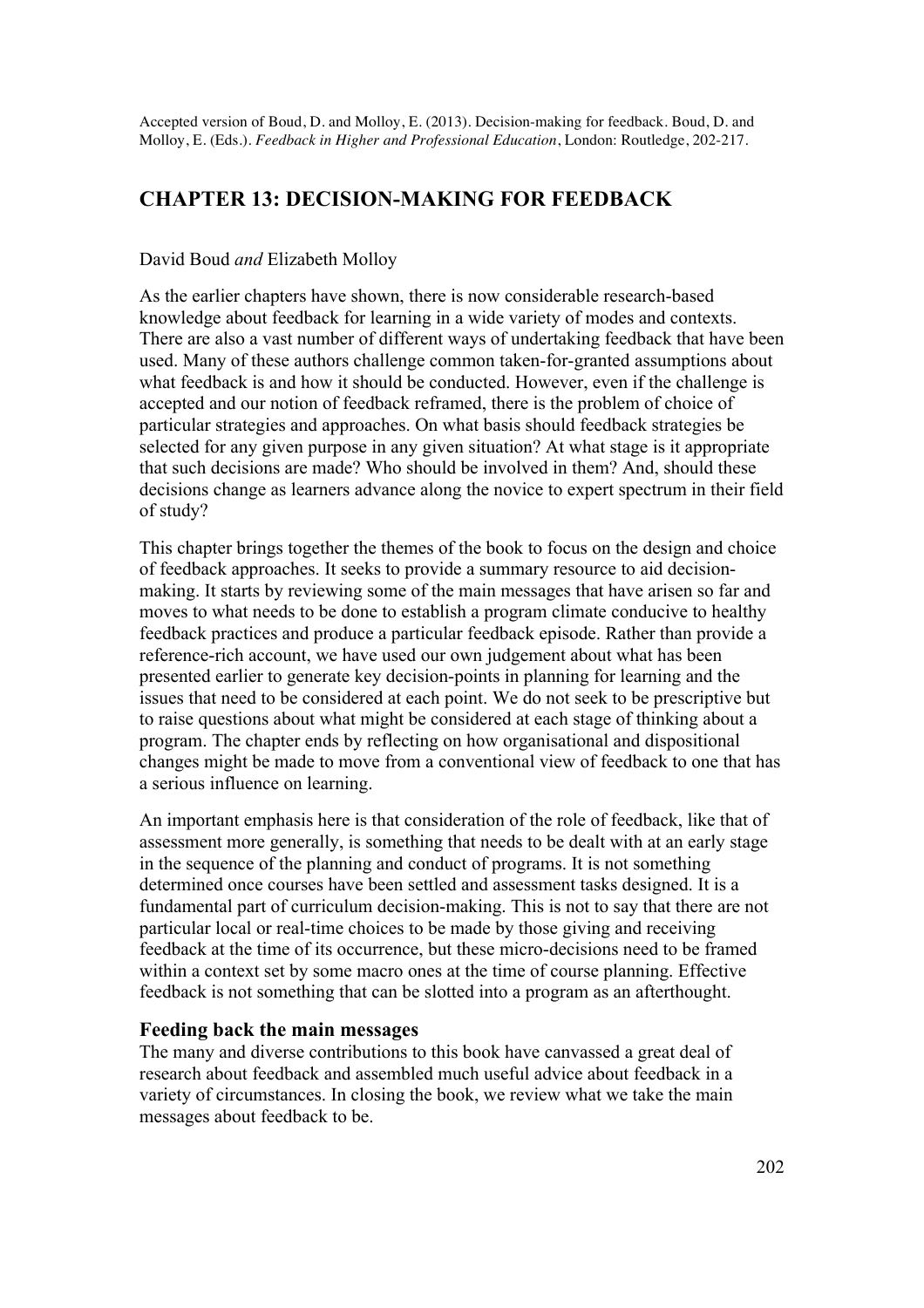Accepted version of Boud, D. and Molloy, E. (2013). Decision-making for feedback. Boud, D. and Molloy, E. (Eds.). *Feedback in Higher and Professional Education*, London: Routledge, 202-217.

# **CHAPTER 13: DECISION-MAKING FOR FEEDBACK**

## David Boud *and* Elizabeth Molloy

As the earlier chapters have shown, there is now considerable research-based knowledge about feedback for learning in a wide variety of modes and contexts. There are also a vast number of different ways of undertaking feedback that have been used. Many of these authors challenge common taken-for-granted assumptions about what feedback is and how it should be conducted. However, even if the challenge is accepted and our notion of feedback reframed, there is the problem of choice of particular strategies and approaches. On what basis should feedback strategies be selected for any given purpose in any given situation? At what stage is it appropriate that such decisions are made? Who should be involved in them? And, should these decisions change as learners advance along the novice to expert spectrum in their field of study?

This chapter brings together the themes of the book to focus on the design and choice of feedback approaches. It seeks to provide a summary resource to aid decisionmaking. It starts by reviewing some of the main messages that have arisen so far and moves to what needs to be done to establish a program climate conducive to healthy feedback practices and produce a particular feedback episode. Rather than provide a reference-rich account, we have used our own judgement about what has been presented earlier to generate key decision-points in planning for learning and the issues that need to be considered at each point. We do not seek to be prescriptive but to raise questions about what might be considered at each stage of thinking about a program. The chapter ends by reflecting on how organisational and dispositional changes might be made to move from a conventional view of feedback to one that has a serious influence on learning.

An important emphasis here is that consideration of the role of feedback, like that of assessment more generally, is something that needs to be dealt with at an early stage in the sequence of the planning and conduct of programs. It is not something determined once courses have been settled and assessment tasks designed. It is a fundamental part of curriculum decision-making. This is not to say that there are not particular local or real-time choices to be made by those giving and receiving feedback at the time of its occurrence, but these micro-decisions need to be framed within a context set by some macro ones at the time of course planning. Effective feedback is not something that can be slotted into a program as an afterthought.

## **Feeding back the main messages**

The many and diverse contributions to this book have canvassed a great deal of research about feedback and assembled much useful advice about feedback in a variety of circumstances. In closing the book, we review what we take the main messages about feedback to be.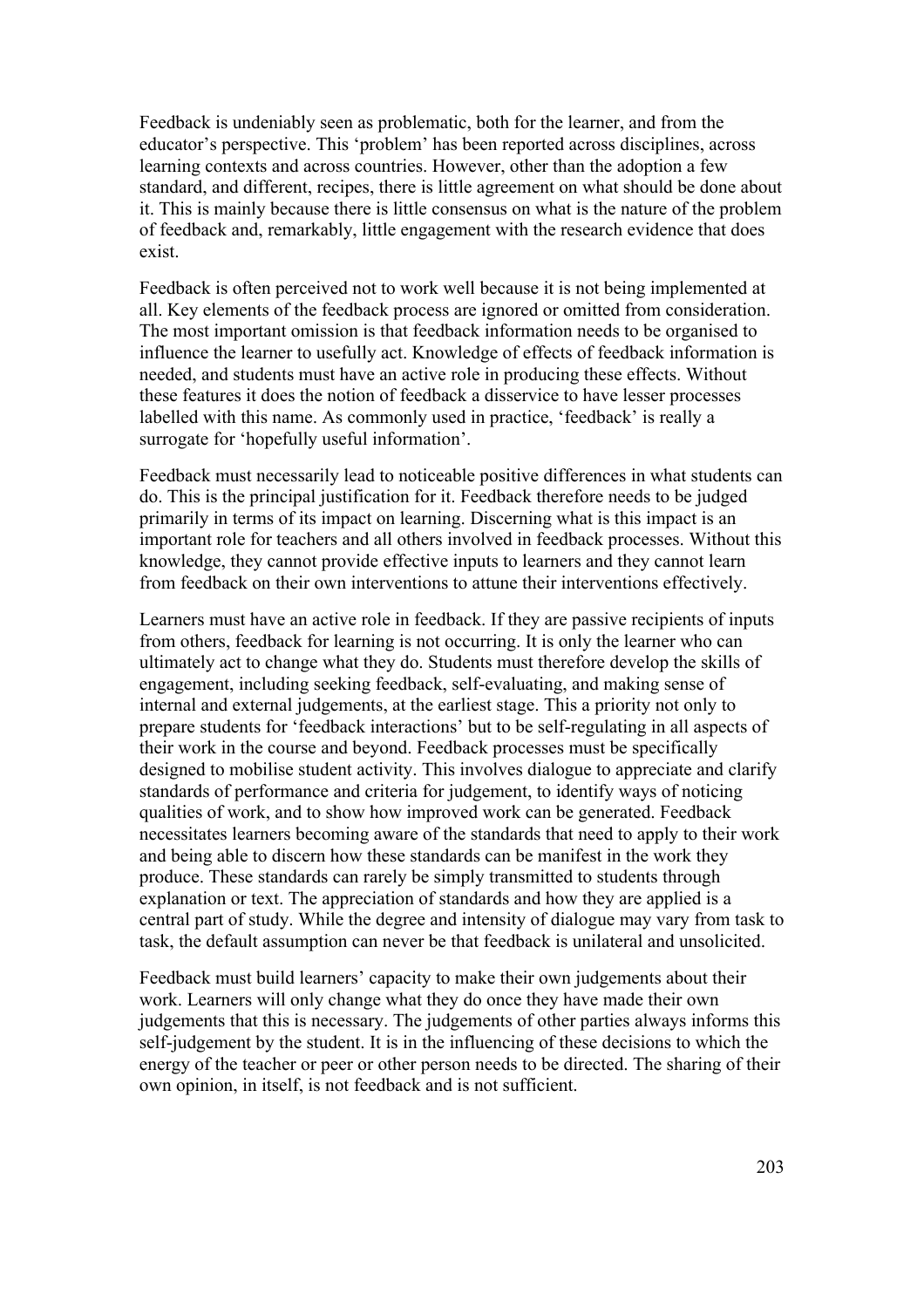Feedback is undeniably seen as problematic, both for the learner, and from the educator's perspective. This 'problem' has been reported across disciplines, across learning contexts and across countries. However, other than the adoption a few standard, and different, recipes, there is little agreement on what should be done about it. This is mainly because there is little consensus on what is the nature of the problem of feedback and, remarkably, little engagement with the research evidence that does exist.

Feedback is often perceived not to work well because it is not being implemented at all. Key elements of the feedback process are ignored or omitted from consideration. The most important omission is that feedback information needs to be organised to influence the learner to usefully act. Knowledge of effects of feedback information is needed, and students must have an active role in producing these effects. Without these features it does the notion of feedback a disservice to have lesser processes labelled with this name. As commonly used in practice, 'feedback' is really a surrogate for 'hopefully useful information'.

Feedback must necessarily lead to noticeable positive differences in what students can do. This is the principal justification for it. Feedback therefore needs to be judged primarily in terms of its impact on learning. Discerning what is this impact is an important role for teachers and all others involved in feedback processes. Without this knowledge, they cannot provide effective inputs to learners and they cannot learn from feedback on their own interventions to attune their interventions effectively.

Learners must have an active role in feedback. If they are passive recipients of inputs from others, feedback for learning is not occurring. It is only the learner who can ultimately act to change what they do. Students must therefore develop the skills of engagement, including seeking feedback, self-evaluating, and making sense of internal and external judgements, at the earliest stage. This a priority not only to prepare students for 'feedback interactions' but to be self-regulating in all aspects of their work in the course and beyond. Feedback processes must be specifically designed to mobilise student activity. This involves dialogue to appreciate and clarify standards of performance and criteria for judgement, to identify ways of noticing qualities of work, and to show how improved work can be generated. Feedback necessitates learners becoming aware of the standards that need to apply to their work and being able to discern how these standards can be manifest in the work they produce. These standards can rarely be simply transmitted to students through explanation or text. The appreciation of standards and how they are applied is a central part of study. While the degree and intensity of dialogue may vary from task to task, the default assumption can never be that feedback is unilateral and unsolicited.

Feedback must build learners' capacity to make their own judgements about their work. Learners will only change what they do once they have made their own judgements that this is necessary. The judgements of other parties always informs this self-judgement by the student. It is in the influencing of these decisions to which the energy of the teacher or peer or other person needs to be directed. The sharing of their own opinion, in itself, is not feedback and is not sufficient.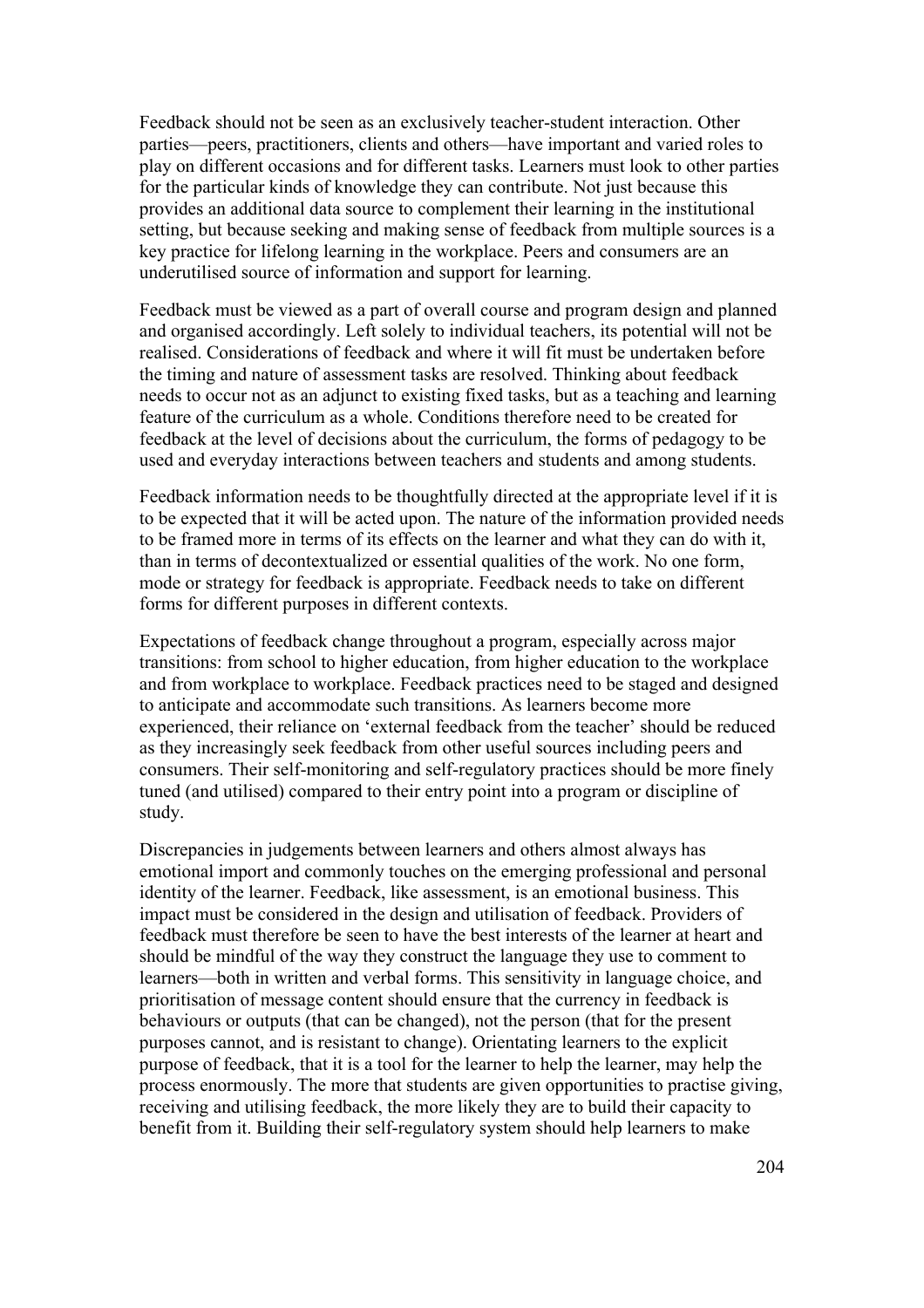Feedback should not be seen as an exclusively teacher-student interaction. Other parties—peers, practitioners, clients and others—have important and varied roles to play on different occasions and for different tasks. Learners must look to other parties for the particular kinds of knowledge they can contribute. Not just because this provides an additional data source to complement their learning in the institutional setting, but because seeking and making sense of feedback from multiple sources is a key practice for lifelong learning in the workplace. Peers and consumers are an underutilised source of information and support for learning.

Feedback must be viewed as a part of overall course and program design and planned and organised accordingly. Left solely to individual teachers, its potential will not be realised. Considerations of feedback and where it will fit must be undertaken before the timing and nature of assessment tasks are resolved. Thinking about feedback needs to occur not as an adjunct to existing fixed tasks, but as a teaching and learning feature of the curriculum as a whole. Conditions therefore need to be created for feedback at the level of decisions about the curriculum, the forms of pedagogy to be used and everyday interactions between teachers and students and among students.

Feedback information needs to be thoughtfully directed at the appropriate level if it is to be expected that it will be acted upon. The nature of the information provided needs to be framed more in terms of its effects on the learner and what they can do with it, than in terms of decontextualized or essential qualities of the work. No one form, mode or strategy for feedback is appropriate. Feedback needs to take on different forms for different purposes in different contexts.

Expectations of feedback change throughout a program, especially across major transitions: from school to higher education, from higher education to the workplace and from workplace to workplace. Feedback practices need to be staged and designed to anticipate and accommodate such transitions. As learners become more experienced, their reliance on 'external feedback from the teacher' should be reduced as they increasingly seek feedback from other useful sources including peers and consumers. Their self-monitoring and self-regulatory practices should be more finely tuned (and utilised) compared to their entry point into a program or discipline of study.

Discrepancies in judgements between learners and others almost always has emotional import and commonly touches on the emerging professional and personal identity of the learner. Feedback, like assessment, is an emotional business. This impact must be considered in the design and utilisation of feedback. Providers of feedback must therefore be seen to have the best interests of the learner at heart and should be mindful of the way they construct the language they use to comment to learners—both in written and verbal forms. This sensitivity in language choice, and prioritisation of message content should ensure that the currency in feedback is behaviours or outputs (that can be changed), not the person (that for the present purposes cannot, and is resistant to change). Orientating learners to the explicit purpose of feedback, that it is a tool for the learner to help the learner, may help the process enormously. The more that students are given opportunities to practise giving, receiving and utilising feedback, the more likely they are to build their capacity to benefit from it. Building their self-regulatory system should help learners to make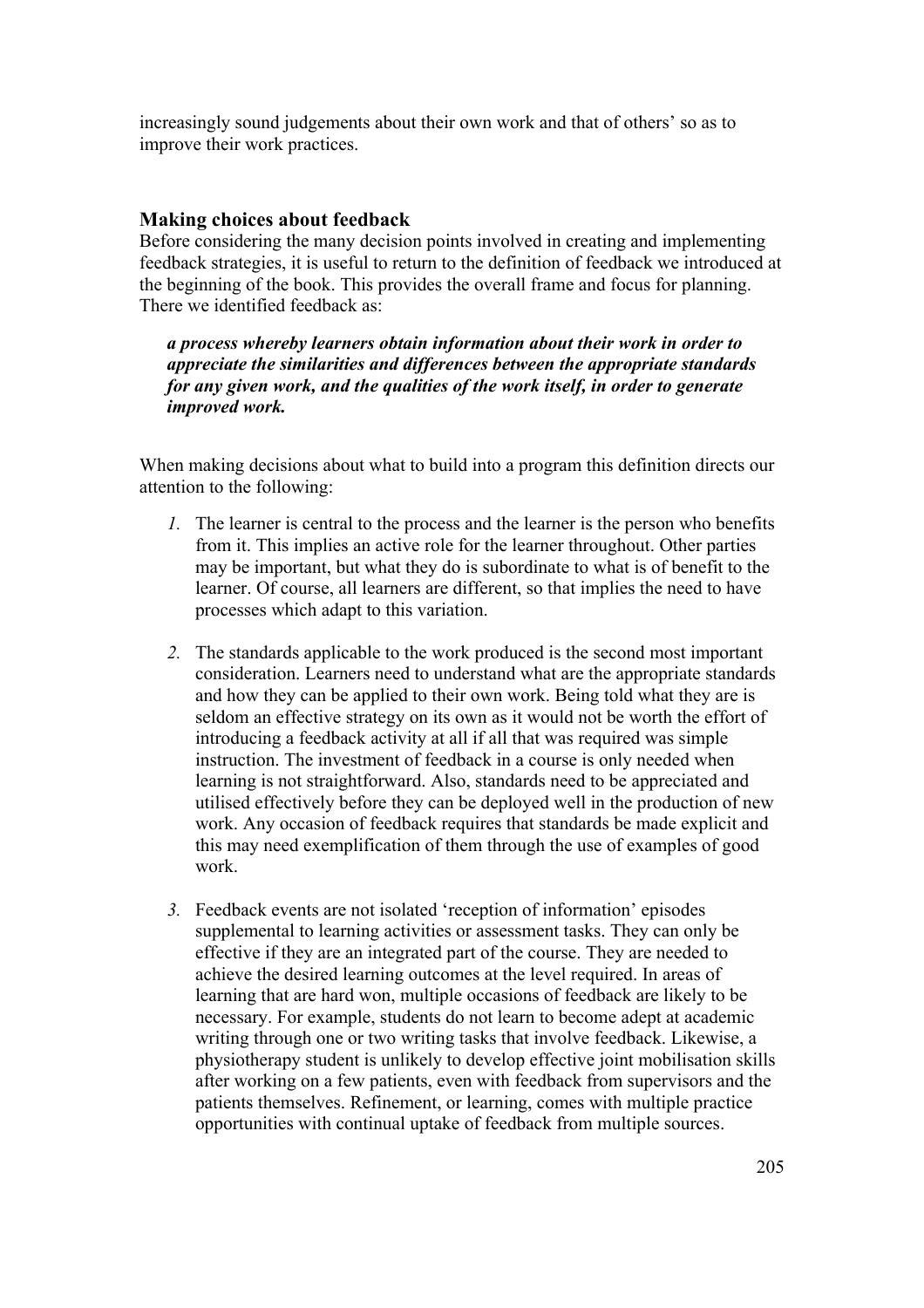increasingly sound judgements about their own work and that of others' so as to improve their work practices.

### **Making choices about feedback**

Before considering the many decision points involved in creating and implementing feedback strategies, it is useful to return to the definition of feedback we introduced at the beginning of the book. This provides the overall frame and focus for planning. There we identified feedback as:

*a process whereby learners obtain information about their work in order to appreciate the similarities and differences between the appropriate standards for any given work, and the qualities of the work itself, in order to generate improved work.*

When making decisions about what to build into a program this definition directs our attention to the following:

- *1.* The learner is central to the process and the learner is the person who benefits from it. This implies an active role for the learner throughout. Other parties may be important, but what they do is subordinate to what is of benefit to the learner. Of course, all learners are different, so that implies the need to have processes which adapt to this variation.
- *2.* The standards applicable to the work produced is the second most important consideration. Learners need to understand what are the appropriate standards and how they can be applied to their own work. Being told what they are is seldom an effective strategy on its own as it would not be worth the effort of introducing a feedback activity at all if all that was required was simple instruction. The investment of feedback in a course is only needed when learning is not straightforward. Also, standards need to be appreciated and utilised effectively before they can be deployed well in the production of new work. Any occasion of feedback requires that standards be made explicit and this may need exemplification of them through the use of examples of good work.
- *3.* Feedback events are not isolated 'reception of information' episodes supplemental to learning activities or assessment tasks. They can only be effective if they are an integrated part of the course. They are needed to achieve the desired learning outcomes at the level required. In areas of learning that are hard won, multiple occasions of feedback are likely to be necessary. For example, students do not learn to become adept at academic writing through one or two writing tasks that involve feedback. Likewise, a physiotherapy student is unlikely to develop effective joint mobilisation skills after working on a few patients, even with feedback from supervisors and the patients themselves. Refinement, or learning, comes with multiple practice opportunities with continual uptake of feedback from multiple sources.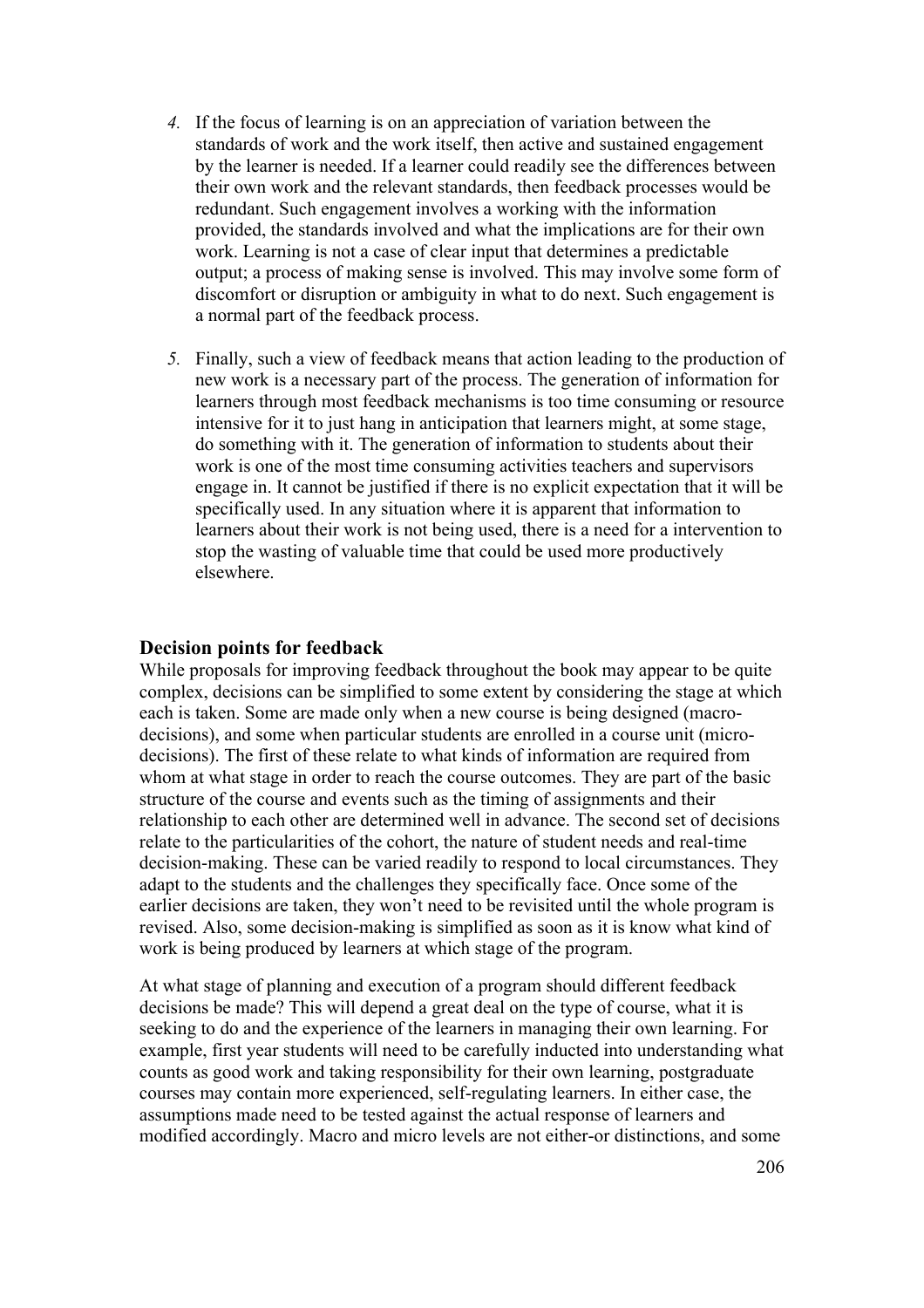- *4.* If the focus of learning is on an appreciation of variation between the standards of work and the work itself, then active and sustained engagement by the learner is needed. If a learner could readily see the differences between their own work and the relevant standards, then feedback processes would be redundant. Such engagement involves a working with the information provided, the standards involved and what the implications are for their own work. Learning is not a case of clear input that determines a predictable output; a process of making sense is involved. This may involve some form of discomfort or disruption or ambiguity in what to do next. Such engagement is a normal part of the feedback process.
- *5.* Finally, such a view of feedback means that action leading to the production of new work is a necessary part of the process. The generation of information for learners through most feedback mechanisms is too time consuming or resource intensive for it to just hang in anticipation that learners might, at some stage, do something with it. The generation of information to students about their work is one of the most time consuming activities teachers and supervisors engage in. It cannot be justified if there is no explicit expectation that it will be specifically used. In any situation where it is apparent that information to learners about their work is not being used, there is a need for a intervention to stop the wasting of valuable time that could be used more productively elsewhere.

## **Decision points for feedback**

While proposals for improving feedback throughout the book may appear to be quite complex, decisions can be simplified to some extent by considering the stage at which each is taken. Some are made only when a new course is being designed (macrodecisions), and some when particular students are enrolled in a course unit (microdecisions). The first of these relate to what kinds of information are required from whom at what stage in order to reach the course outcomes. They are part of the basic structure of the course and events such as the timing of assignments and their relationship to each other are determined well in advance. The second set of decisions relate to the particularities of the cohort, the nature of student needs and real-time decision-making. These can be varied readily to respond to local circumstances. They adapt to the students and the challenges they specifically face. Once some of the earlier decisions are taken, they won't need to be revisited until the whole program is revised. Also, some decision-making is simplified as soon as it is know what kind of work is being produced by learners at which stage of the program.

At what stage of planning and execution of a program should different feedback decisions be made? This will depend a great deal on the type of course, what it is seeking to do and the experience of the learners in managing their own learning. For example, first year students will need to be carefully inducted into understanding what counts as good work and taking responsibility for their own learning, postgraduate courses may contain more experienced, self-regulating learners. In either case, the assumptions made need to be tested against the actual response of learners and modified accordingly. Macro and micro levels are not either-or distinctions, and some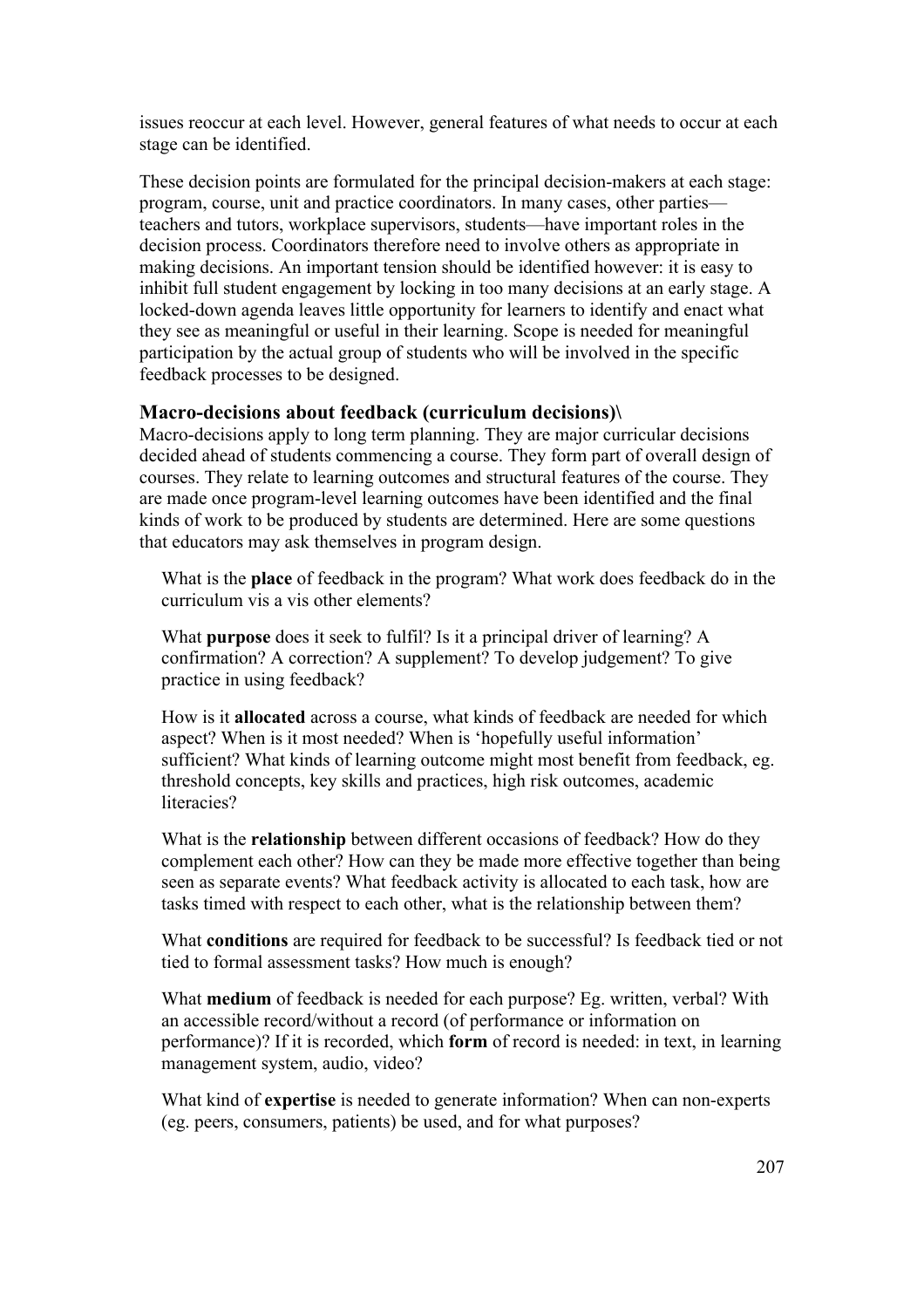issues reoccur at each level. However, general features of what needs to occur at each stage can be identified.

These decision points are formulated for the principal decision-makers at each stage: program, course, unit and practice coordinators. In many cases, other parties teachers and tutors, workplace supervisors, students—have important roles in the decision process. Coordinators therefore need to involve others as appropriate in making decisions. An important tension should be identified however: it is easy to inhibit full student engagement by locking in too many decisions at an early stage. A locked-down agenda leaves little opportunity for learners to identify and enact what they see as meaningful or useful in their learning. Scope is needed for meaningful participation by the actual group of students who will be involved in the specific feedback processes to be designed.

## **Macro-decisions about feedback (curriculum decisions)\**

Macro-decisions apply to long term planning. They are major curricular decisions decided ahead of students commencing a course. They form part of overall design of courses. They relate to learning outcomes and structural features of the course. They are made once program-level learning outcomes have been identified and the final kinds of work to be produced by students are determined. Here are some questions that educators may ask themselves in program design.

What is the **place** of feedback in the program? What work does feedback do in the curriculum vis a vis other elements?

What **purpose** does it seek to fulfil? Is it a principal driver of learning? A confirmation? A correction? A supplement? To develop judgement? To give practice in using feedback?

How is it **allocated** across a course, what kinds of feedback are needed for which aspect? When is it most needed? When is 'hopefully useful information' sufficient? What kinds of learning outcome might most benefit from feedback, eg. threshold concepts, key skills and practices, high risk outcomes, academic literacies?

What is the **relationship** between different occasions of feedback? How do they complement each other? How can they be made more effective together than being seen as separate events? What feedback activity is allocated to each task, how are tasks timed with respect to each other, what is the relationship between them?

What **conditions** are required for feedback to be successful? Is feedback tied or not tied to formal assessment tasks? How much is enough?

What **medium** of feedback is needed for each purpose? Eg. written, verbal? With an accessible record/without a record (of performance or information on performance)? If it is recorded, which **form** of record is needed: in text, in learning management system, audio, video?

What kind of **expertise** is needed to generate information? When can non-experts (eg. peers, consumers, patients) be used, and for what purposes?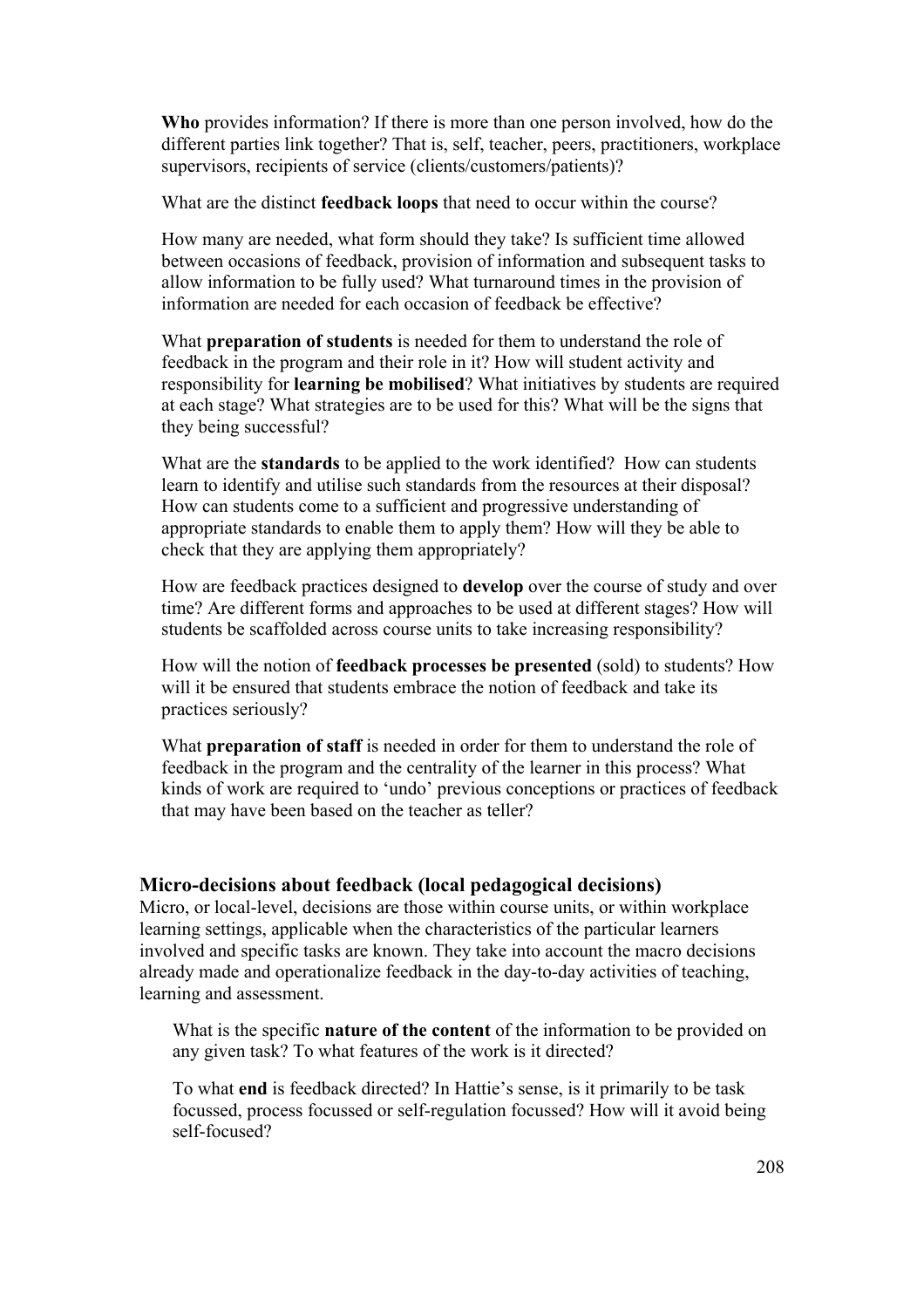**Who** provides information? If there is more than one person involved, how do the different parties link together? That is, self, teacher, peers, practitioners, workplace supervisors, recipients of service (clients/customers/patients)?

What are the distinct **feedback loops** that need to occur within the course?

How many are needed, what form should they take? Is sufficient time allowed between occasions of feedback, provision of information and subsequent tasks to allow information to be fully used? What turnaround times in the provision of information are needed for each occasion of feedback be effective?

What **preparation of students** is needed for them to understand the role of feedback in the program and their role in it? How will student activity and responsibility for **learning be mobilised**? What initiatives by students are required at each stage? What strategies are to be used for this? What will be the signs that they being successful?

What are the **standards** to be applied to the work identified? How can students learn to identify and utilise such standards from the resources at their disposal? How can students come to a sufficient and progressive understanding of appropriate standards to enable them to apply them? How will they be able to check that they are applying them appropriately?

How are feedback practices designed to **develop** over the course of study and over time? Are different forms and approaches to be used at different stages? How will students be scaffolded across course units to take increasing responsibility?

How will the notion of **feedback processes be presented** (sold) to students? How will it be ensured that students embrace the notion of feedback and take its practices seriously?

What **preparation of staff** is needed in order for them to understand the role of feedback in the program and the centrality of the learner in this process? What kinds of work are required to 'undo' previous conceptions or practices of feedback that may have been based on the teacher as teller?

#### **Micro-decisions about feedback (local pedagogical decisions)**

Micro, or local-level, decisions are those within course units, or within workplace learning settings, applicable when the characteristics of the particular learners involved and specific tasks are known. They take into account the macro decisions already made and operationalize feedback in the day-to-day activities of teaching, learning and assessment.

What is the specific **nature of the content** of the information to be provided on any given task? To what features of the work is it directed?

To what **end** is feedback directed? In Hattie's sense, is it primarily to be task focussed, process focussed or self-regulation focussed? How will it avoid being self-focused?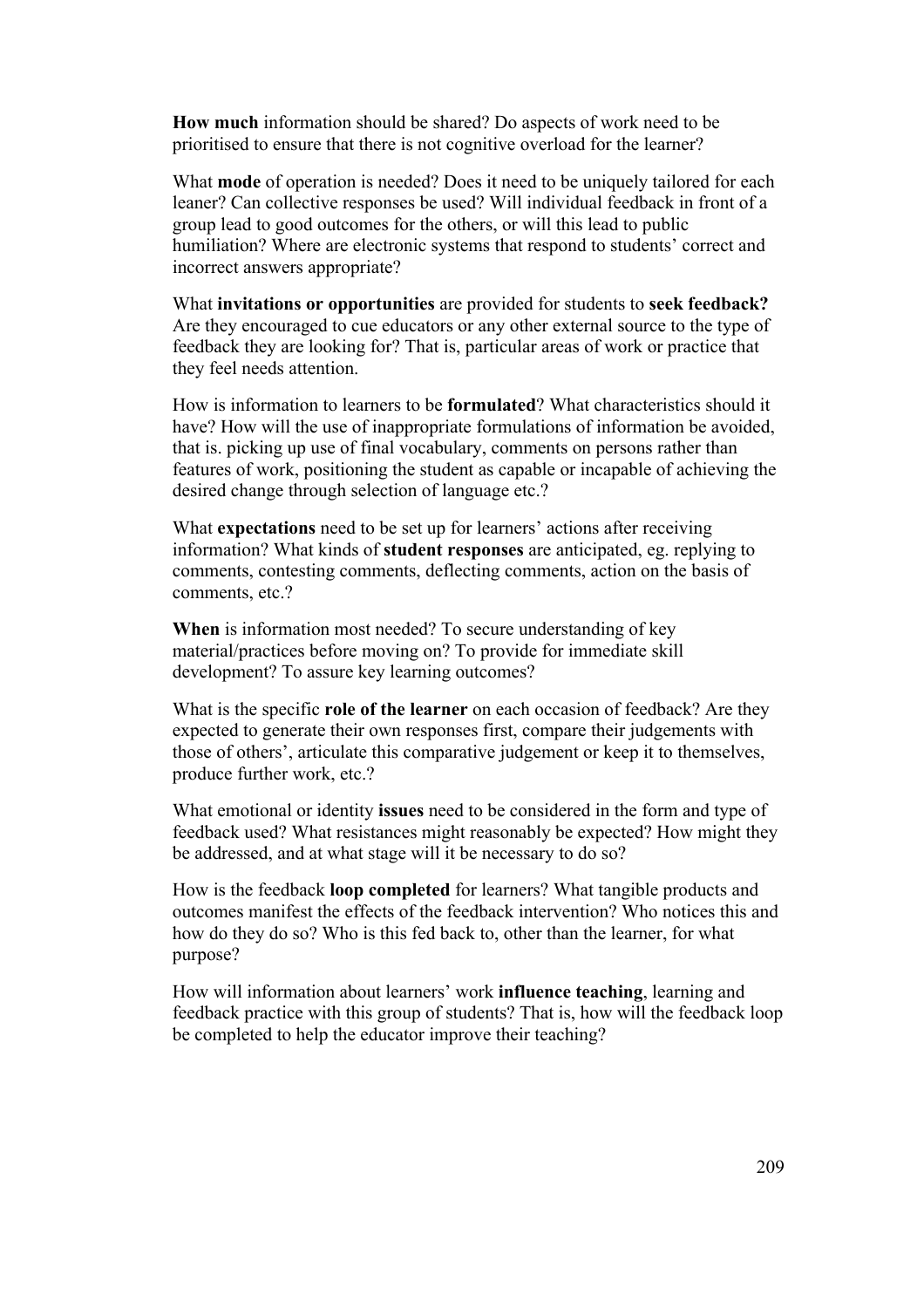**How much** information should be shared? Do aspects of work need to be prioritised to ensure that there is not cognitive overload for the learner?

What **mode** of operation is needed? Does it need to be uniquely tailored for each leaner? Can collective responses be used? Will individual feedback in front of a group lead to good outcomes for the others, or will this lead to public humiliation? Where are electronic systems that respond to students' correct and incorrect answers appropriate?

What **invitations or opportunities** are provided for students to **seek feedback?**  Are they encouraged to cue educators or any other external source to the type of feedback they are looking for? That is, particular areas of work or practice that they feel needs attention.

How is information to learners to be **formulated**? What characteristics should it have? How will the use of inappropriate formulations of information be avoided, that is. picking up use of final vocabulary, comments on persons rather than features of work, positioning the student as capable or incapable of achieving the desired change through selection of language etc.?

What **expectations** need to be set up for learners' actions after receiving information? What kinds of **student responses** are anticipated, eg. replying to comments, contesting comments, deflecting comments, action on the basis of comments, etc.?

**When** is information most needed? To secure understanding of key material/practices before moving on? To provide for immediate skill development? To assure key learning outcomes?

What is the specific **role of the learner** on each occasion of feedback? Are they expected to generate their own responses first, compare their judgements with those of others', articulate this comparative judgement or keep it to themselves, produce further work, etc.?

What emotional or identity **issues** need to be considered in the form and type of feedback used? What resistances might reasonably be expected? How might they be addressed, and at what stage will it be necessary to do so?

How is the feedback **loop completed** for learners? What tangible products and outcomes manifest the effects of the feedback intervention? Who notices this and how do they do so? Who is this fed back to, other than the learner, for what purpose?

How will information about learners' work **influence teaching**, learning and feedback practice with this group of students? That is, how will the feedback loop be completed to help the educator improve their teaching?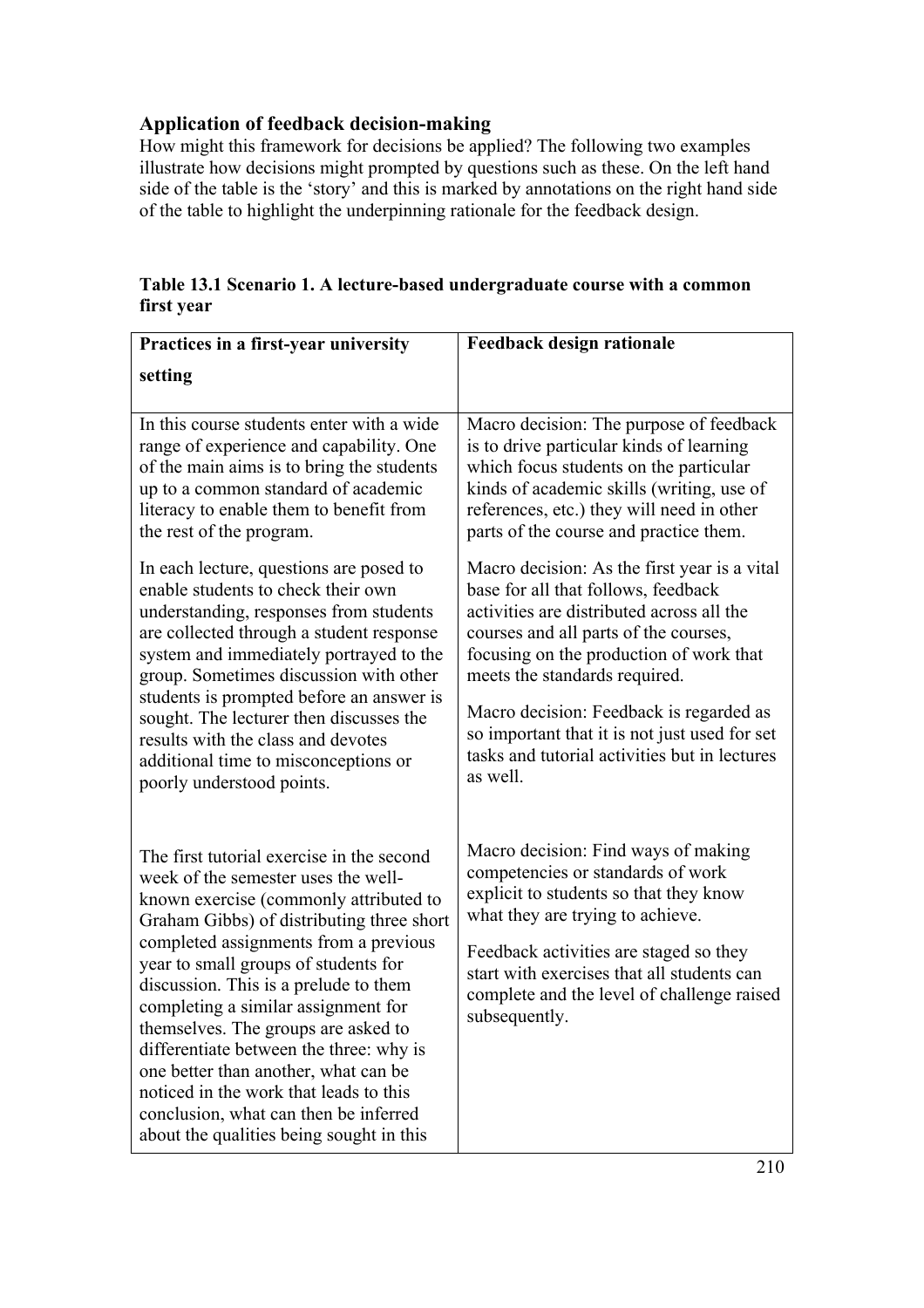# **Application of feedback decision-making**

How might this framework for decisions be applied? The following two examples illustrate how decisions might prompted by questions such as these. On the left hand side of the table is the 'story' and this is marked by annotations on the right hand side of the table to highlight the underpinning rationale for the feedback design.

**Table 13.1 Scenario 1. A lecture-based undergraduate course with a common first year**

| Practices in a first-year university                                                                                                                                                                                                                                                                                                                                                                                                                                                                                                                                                              | Feedback design rationale                                                                                                                                                                                                                                                                                                                                                                                      |
|---------------------------------------------------------------------------------------------------------------------------------------------------------------------------------------------------------------------------------------------------------------------------------------------------------------------------------------------------------------------------------------------------------------------------------------------------------------------------------------------------------------------------------------------------------------------------------------------------|----------------------------------------------------------------------------------------------------------------------------------------------------------------------------------------------------------------------------------------------------------------------------------------------------------------------------------------------------------------------------------------------------------------|
| setting                                                                                                                                                                                                                                                                                                                                                                                                                                                                                                                                                                                           |                                                                                                                                                                                                                                                                                                                                                                                                                |
| In this course students enter with a wide<br>range of experience and capability. One<br>of the main aims is to bring the students<br>up to a common standard of academic<br>literacy to enable them to benefit from<br>the rest of the program.                                                                                                                                                                                                                                                                                                                                                   | Macro decision: The purpose of feedback<br>is to drive particular kinds of learning<br>which focus students on the particular<br>kinds of academic skills (writing, use of<br>references, etc.) they will need in other<br>parts of the course and practice them.                                                                                                                                              |
| In each lecture, questions are posed to<br>enable students to check their own<br>understanding, responses from students<br>are collected through a student response<br>system and immediately portrayed to the<br>group. Sometimes discussion with other<br>students is prompted before an answer is<br>sought. The lecturer then discusses the<br>results with the class and devotes<br>additional time to misconceptions or<br>poorly understood points.                                                                                                                                        | Macro decision: As the first year is a vital<br>base for all that follows, feedback<br>activities are distributed across all the<br>courses and all parts of the courses,<br>focusing on the production of work that<br>meets the standards required.<br>Macro decision: Feedback is regarded as<br>so important that it is not just used for set<br>tasks and tutorial activities but in lectures<br>as well. |
| The first tutorial exercise in the second<br>week of the semester uses the well-<br>known exercise (commonly attributed to<br>Graham Gibbs) of distributing three short<br>completed assignments from a previous<br>year to small groups of students for<br>discussion. This is a prelude to them<br>completing a similar assignment for<br>themselves. The groups are asked to<br>differentiate between the three: why is<br>one better than another, what can be<br>noticed in the work that leads to this<br>conclusion, what can then be inferred<br>about the qualities being sought in this | Macro decision: Find ways of making<br>competencies or standards of work<br>explicit to students so that they know<br>what they are trying to achieve.<br>Feedback activities are staged so they<br>start with exercises that all students can<br>complete and the level of challenge raised<br>subsequently.                                                                                                  |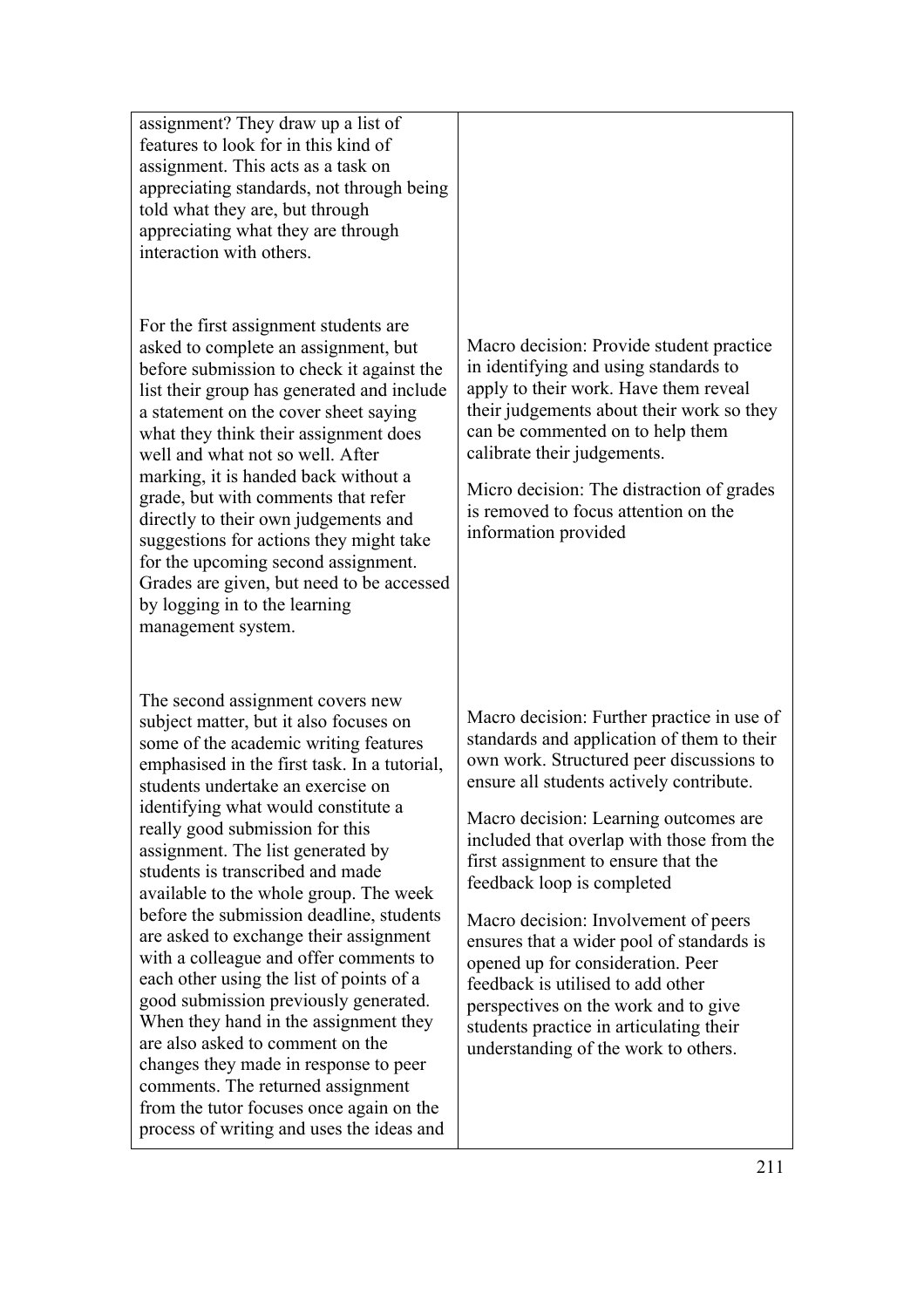| assignment? They draw up a list of<br>features to look for in this kind of<br>assignment. This acts as a task on<br>appreciating standards, not through being<br>told what they are, but through<br>appreciating what they are through<br>interaction with others.                                                                                                                                                                                                                                                                                                                                                                                                                                                                                                                                                                                                             |                                                                                                                                                                                                                                                                                                                                                                                                                                                                                                                                                                                                                                       |
|--------------------------------------------------------------------------------------------------------------------------------------------------------------------------------------------------------------------------------------------------------------------------------------------------------------------------------------------------------------------------------------------------------------------------------------------------------------------------------------------------------------------------------------------------------------------------------------------------------------------------------------------------------------------------------------------------------------------------------------------------------------------------------------------------------------------------------------------------------------------------------|---------------------------------------------------------------------------------------------------------------------------------------------------------------------------------------------------------------------------------------------------------------------------------------------------------------------------------------------------------------------------------------------------------------------------------------------------------------------------------------------------------------------------------------------------------------------------------------------------------------------------------------|
| For the first assignment students are<br>asked to complete an assignment, but<br>before submission to check it against the<br>list their group has generated and include<br>a statement on the cover sheet saying<br>what they think their assignment does<br>well and what not so well. After<br>marking, it is handed back without a<br>grade, but with comments that refer<br>directly to their own judgements and<br>suggestions for actions they might take<br>for the upcoming second assignment.<br>Grades are given, but need to be accessed<br>by logging in to the learning<br>management system.                                                                                                                                                                                                                                                                    | Macro decision: Provide student practice<br>in identifying and using standards to<br>apply to their work. Have them reveal<br>their judgements about their work so they<br>can be commented on to help them<br>calibrate their judgements.<br>Micro decision: The distraction of grades<br>is removed to focus attention on the<br>information provided                                                                                                                                                                                                                                                                               |
| The second assignment covers new<br>subject matter, but it also focuses on<br>some of the academic writing features<br>emphasised in the first task. In a tutorial,<br>students undertake an exercise on<br>identifying what would constitute a<br>really good submission for this<br>assignment. The list generated by<br>students is transcribed and made<br>available to the whole group. The week<br>before the submission deadline, students<br>are asked to exchange their assignment<br>with a colleague and offer comments to<br>each other using the list of points of a<br>good submission previously generated.<br>When they hand in the assignment they<br>are also asked to comment on the<br>changes they made in response to peer<br>comments. The returned assignment<br>from the tutor focuses once again on the<br>process of writing and uses the ideas and | Macro decision: Further practice in use of<br>standards and application of them to their<br>own work. Structured peer discussions to<br>ensure all students actively contribute.<br>Macro decision: Learning outcomes are<br>included that overlap with those from the<br>first assignment to ensure that the<br>feedback loop is completed<br>Macro decision: Involvement of peers<br>ensures that a wider pool of standards is<br>opened up for consideration. Peer<br>feedback is utilised to add other<br>perspectives on the work and to give<br>students practice in articulating their<br>understanding of the work to others. |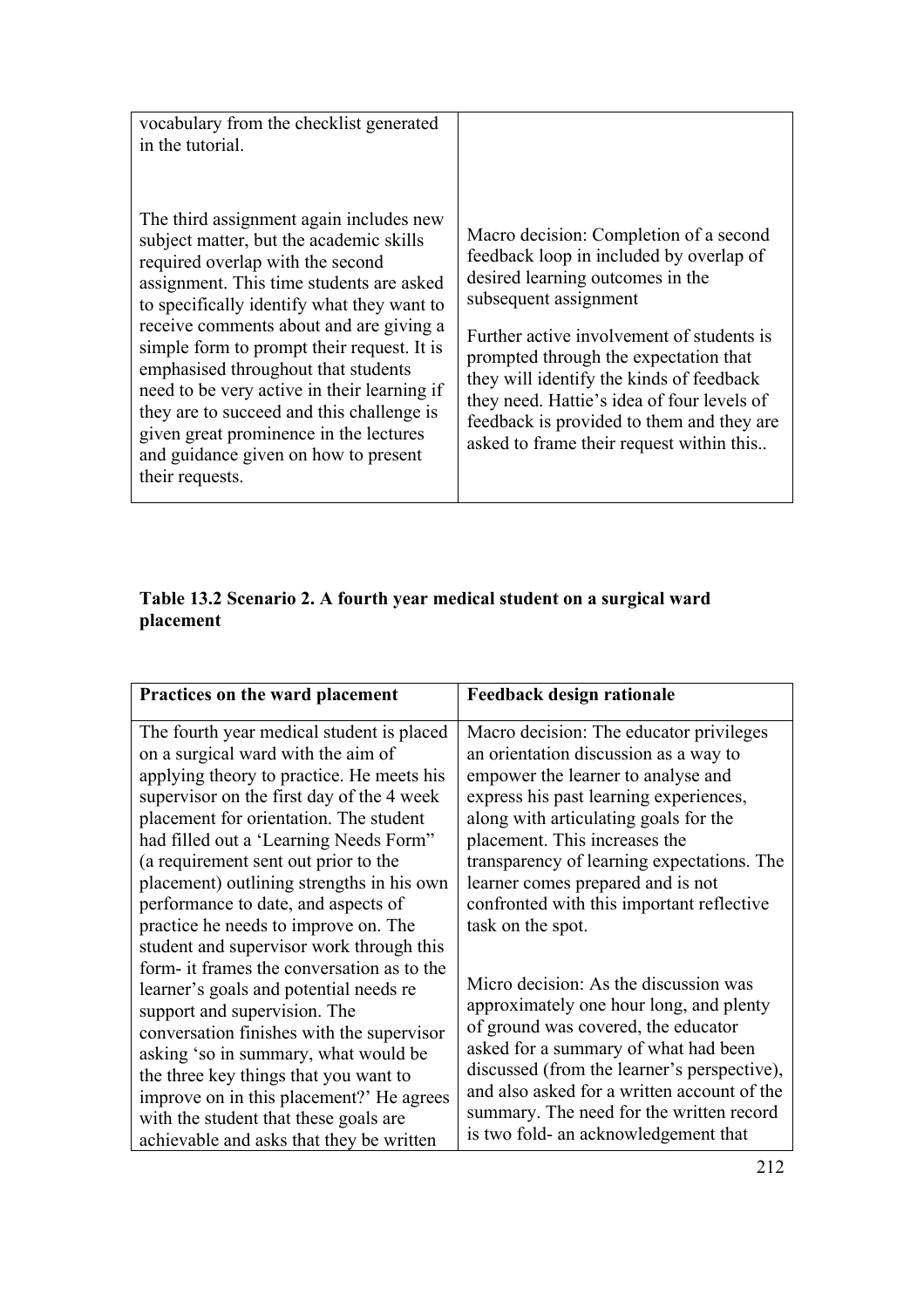| vocabulary from the checklist generated<br>in the tutorial.                                                                                                                                                                                                                                                                                                                                                                                                                                                                                       |                                                                                                                                                                                                                                                                                                                                                                                                                         |
|---------------------------------------------------------------------------------------------------------------------------------------------------------------------------------------------------------------------------------------------------------------------------------------------------------------------------------------------------------------------------------------------------------------------------------------------------------------------------------------------------------------------------------------------------|-------------------------------------------------------------------------------------------------------------------------------------------------------------------------------------------------------------------------------------------------------------------------------------------------------------------------------------------------------------------------------------------------------------------------|
| The third assignment again includes new<br>subject matter, but the academic skills<br>required overlap with the second<br>assignment. This time students are asked<br>to specifically identify what they want to<br>receive comments about and are giving a<br>simple form to prompt their request. It is<br>emphasised throughout that students<br>need to be very active in their learning if<br>they are to succeed and this challenge is<br>given great prominence in the lectures<br>and guidance given on how to present<br>their requests. | Macro decision: Completion of a second<br>feedback loop in included by overlap of<br>desired learning outcomes in the<br>subsequent assignment<br>Further active involvement of students is<br>prompted through the expectation that<br>they will identify the kinds of feedback<br>they need. Hattie's idea of four levels of<br>feedback is provided to them and they are<br>asked to frame their request within this |

## **Table 13.2 Scenario 2. A fourth year medical student on a surgical ward placement**

| Practices on the ward placement                                                                                                                                                                                                                                                                                                                                                                                                                                         | <b>Feedback design rationale</b>                                                                                                                                                                                                                                                                                                                                                                |
|-------------------------------------------------------------------------------------------------------------------------------------------------------------------------------------------------------------------------------------------------------------------------------------------------------------------------------------------------------------------------------------------------------------------------------------------------------------------------|-------------------------------------------------------------------------------------------------------------------------------------------------------------------------------------------------------------------------------------------------------------------------------------------------------------------------------------------------------------------------------------------------|
| The fourth year medical student is placed<br>on a surgical ward with the aim of<br>applying theory to practice. He meets his<br>supervisor on the first day of the 4 week<br>placement for orientation. The student<br>had filled out a 'Learning Needs Form''<br>(a requirement sent out prior to the<br>placement) outlining strengths in his own<br>performance to date, and aspects of                                                                              | Macro decision: The educator privileges<br>an orientation discussion as a way to<br>empower the learner to analyse and<br>express his past learning experiences,<br>along with articulating goals for the<br>placement. This increases the<br>transparency of learning expectations. The<br>learner comes prepared and is not<br>confronted with this important reflective<br>task on the spot. |
| practice he needs to improve on. The<br>student and supervisor work through this<br>form- it frames the conversation as to the<br>learner's goals and potential needs re<br>support and supervision. The<br>conversation finishes with the supervisor<br>asking 'so in summary, what would be<br>the three key things that you want to<br>improve on in this placement?' He agrees<br>with the student that these goals are<br>achievable and asks that they be written | Micro decision: As the discussion was<br>approximately one hour long, and plenty<br>of ground was covered, the educator<br>asked for a summary of what had been<br>discussed (from the learner's perspective),<br>and also asked for a written account of the<br>summary. The need for the written record<br>is two fold- an acknowledgement that                                               |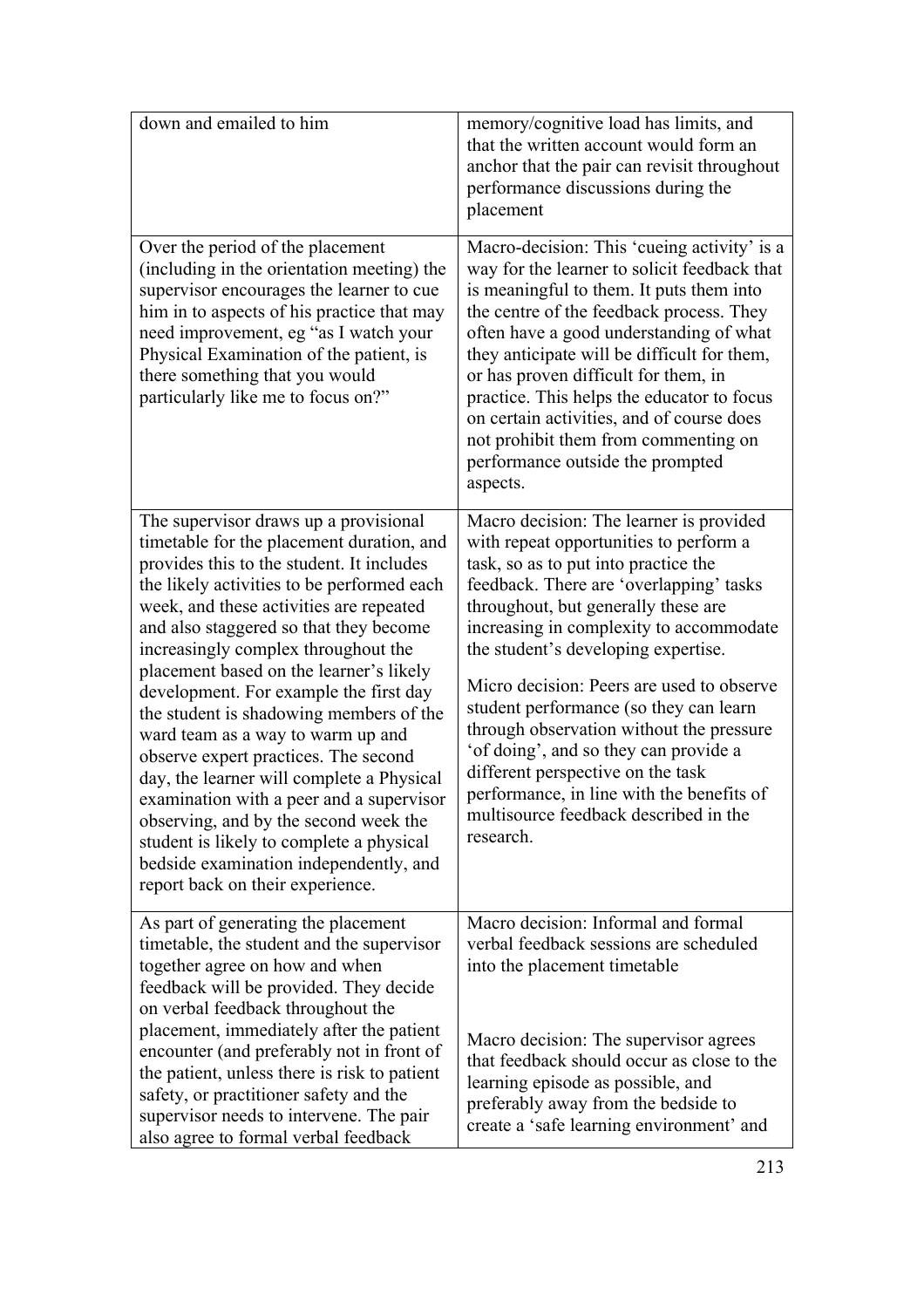| down and emailed to him                                                                                                                                                                                                                                                                                                                                                                                                                                                                                                                                                                                                                                                                                                                                                            | memory/cognitive load has limits, and<br>that the written account would form an<br>anchor that the pair can revisit throughout<br>performance discussions during the<br>placement                                                                                                                                                                                                                                                                                                                                                                                                                                 |
|------------------------------------------------------------------------------------------------------------------------------------------------------------------------------------------------------------------------------------------------------------------------------------------------------------------------------------------------------------------------------------------------------------------------------------------------------------------------------------------------------------------------------------------------------------------------------------------------------------------------------------------------------------------------------------------------------------------------------------------------------------------------------------|-------------------------------------------------------------------------------------------------------------------------------------------------------------------------------------------------------------------------------------------------------------------------------------------------------------------------------------------------------------------------------------------------------------------------------------------------------------------------------------------------------------------------------------------------------------------------------------------------------------------|
| Over the period of the placement<br>(including in the orientation meeting) the<br>supervisor encourages the learner to cue<br>him in to aspects of his practice that may<br>need improvement, eg "as I watch your<br>Physical Examination of the patient, is<br>there something that you would<br>particularly like me to focus on?"                                                                                                                                                                                                                                                                                                                                                                                                                                               | Macro-decision: This 'cueing activity' is a<br>way for the learner to solicit feedback that<br>is meaningful to them. It puts them into<br>the centre of the feedback process. They<br>often have a good understanding of what<br>they anticipate will be difficult for them,<br>or has proven difficult for them, in<br>practice. This helps the educator to focus<br>on certain activities, and of course does<br>not prohibit them from commenting on<br>performance outside the prompted<br>aspects.                                                                                                          |
| The supervisor draws up a provisional<br>timetable for the placement duration, and<br>provides this to the student. It includes<br>the likely activities to be performed each<br>week, and these activities are repeated<br>and also staggered so that they become<br>increasingly complex throughout the<br>placement based on the learner's likely<br>development. For example the first day<br>the student is shadowing members of the<br>ward team as a way to warm up and<br>observe expert practices. The second<br>day, the learner will complete a Physical<br>examination with a peer and a supervisor<br>observing, and by the second week the<br>student is likely to complete a physical<br>bedside examination independently, and<br>report back on their experience. | Macro decision: The learner is provided<br>with repeat opportunities to perform a<br>task, so as to put into practice the<br>feedback. There are 'overlapping' tasks<br>throughout, but generally these are<br>increasing in complexity to accommodate<br>the student's developing expertise.<br>Micro decision: Peers are used to observe<br>student performance (so they can learn<br>through observation without the pressure<br>'of doing', and so they can provide a<br>different perspective on the task<br>performance, in line with the benefits of<br>multisource feedback described in the<br>research. |
| As part of generating the placement<br>timetable, the student and the supervisor<br>together agree on how and when<br>feedback will be provided. They decide                                                                                                                                                                                                                                                                                                                                                                                                                                                                                                                                                                                                                       | Macro decision: Informal and formal<br>verbal feedback sessions are scheduled<br>into the placement timetable                                                                                                                                                                                                                                                                                                                                                                                                                                                                                                     |
| on verbal feedback throughout the<br>placement, immediately after the patient<br>encounter (and preferably not in front of<br>the patient, unless there is risk to patient<br>safety, or practitioner safety and the<br>supervisor needs to intervene. The pair<br>also agree to formal verbal feedback                                                                                                                                                                                                                                                                                                                                                                                                                                                                            | Macro decision: The supervisor agrees<br>that feedback should occur as close to the<br>learning episode as possible, and<br>preferably away from the bedside to<br>create a 'safe learning environment' and                                                                                                                                                                                                                                                                                                                                                                                                       |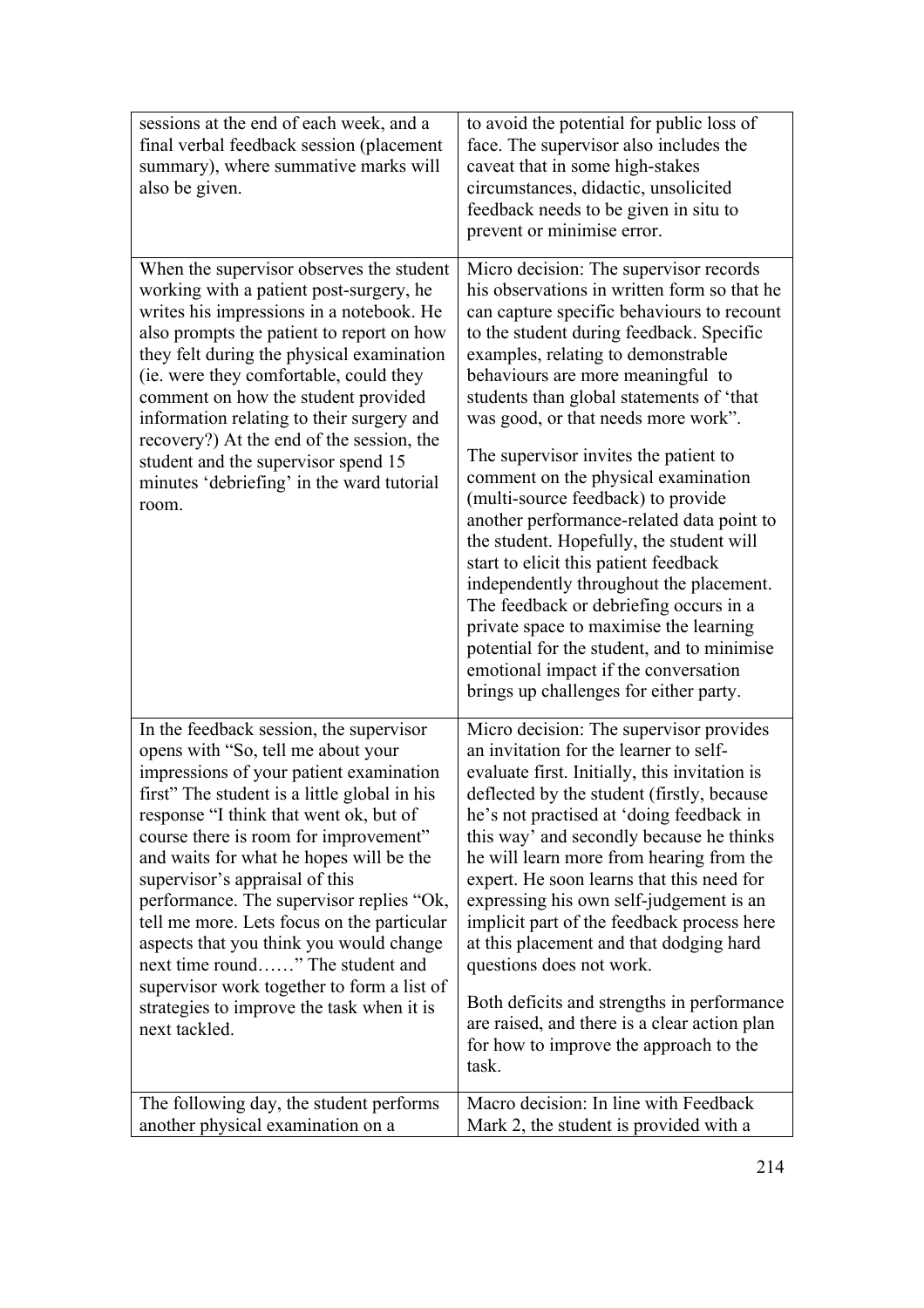| sessions at the end of each week, and a<br>final verbal feedback session (placement<br>summary), where summative marks will<br>also be given.                                                                                                                                                                                                                                                                                                                                                                                                                                                                                 | to avoid the potential for public loss of<br>face. The supervisor also includes the<br>caveat that in some high-stakes<br>circumstances, didactic, unsolicited<br>feedback needs to be given in situ to<br>prevent or minimise error.                                                                                                                                                                                                                                                                                                                                                                                                                                                                                                                                                                                                                                |
|-------------------------------------------------------------------------------------------------------------------------------------------------------------------------------------------------------------------------------------------------------------------------------------------------------------------------------------------------------------------------------------------------------------------------------------------------------------------------------------------------------------------------------------------------------------------------------------------------------------------------------|----------------------------------------------------------------------------------------------------------------------------------------------------------------------------------------------------------------------------------------------------------------------------------------------------------------------------------------------------------------------------------------------------------------------------------------------------------------------------------------------------------------------------------------------------------------------------------------------------------------------------------------------------------------------------------------------------------------------------------------------------------------------------------------------------------------------------------------------------------------------|
| When the supervisor observes the student<br>working with a patient post-surgery, he<br>writes his impressions in a notebook. He<br>also prompts the patient to report on how<br>they felt during the physical examination<br>(ie. were they comfortable, could they<br>comment on how the student provided<br>information relating to their surgery and<br>recovery?) At the end of the session, the<br>student and the supervisor spend 15<br>minutes 'debriefing' in the ward tutorial<br>room.                                                                                                                             | Micro decision: The supervisor records<br>his observations in written form so that he<br>can capture specific behaviours to recount<br>to the student during feedback. Specific<br>examples, relating to demonstrable<br>behaviours are more meaningful to<br>students than global statements of 'that<br>was good, or that needs more work".<br>The supervisor invites the patient to<br>comment on the physical examination<br>(multi-source feedback) to provide<br>another performance-related data point to<br>the student. Hopefully, the student will<br>start to elicit this patient feedback<br>independently throughout the placement.<br>The feedback or debriefing occurs in a<br>private space to maximise the learning<br>potential for the student, and to minimise<br>emotional impact if the conversation<br>brings up challenges for either party. |
| In the feedback session, the supervisor<br>opens with "So, tell me about your<br>impressions of your patient examination<br>first" The student is a little global in his<br>response "I think that went ok, but of<br>course there is room for improvement"<br>and waits for what he hopes will be the<br>supervisor's appraisal of this<br>performance. The supervisor replies "Ok,<br>tell me more. Lets focus on the particular<br>aspects that you think you would change<br>next time round" The student and<br>supervisor work together to form a list of<br>strategies to improve the task when it is<br>next tackled. | Micro decision: The supervisor provides<br>an invitation for the learner to self-<br>evaluate first. Initially, this invitation is<br>deflected by the student (firstly, because<br>he's not practised at 'doing feedback in<br>this way' and secondly because he thinks<br>he will learn more from hearing from the<br>expert. He soon learns that this need for<br>expressing his own self-judgement is an<br>implicit part of the feedback process here<br>at this placement and that dodging hard<br>questions does not work.<br>Both deficits and strengths in performance<br>are raised, and there is a clear action plan<br>for how to improve the approach to the<br>task.                                                                                                                                                                                   |
| The following day, the student performs<br>another physical examination on a                                                                                                                                                                                                                                                                                                                                                                                                                                                                                                                                                  | Macro decision: In line with Feedback<br>Mark 2, the student is provided with a                                                                                                                                                                                                                                                                                                                                                                                                                                                                                                                                                                                                                                                                                                                                                                                      |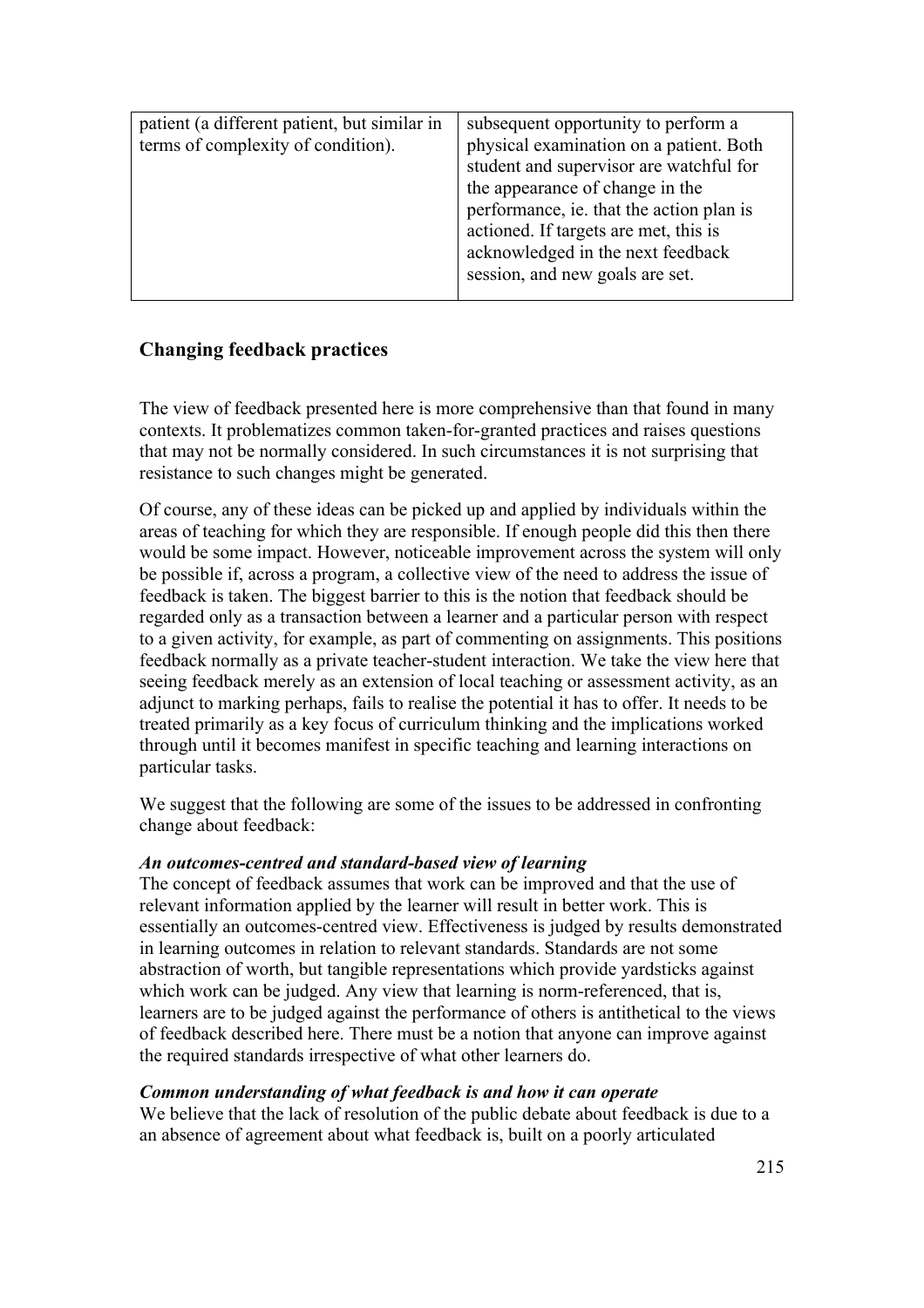| patient (a different patient, but similar in | subsequent opportunity to perform a      |
|----------------------------------------------|------------------------------------------|
| terms of complexity of condition).           | physical examination on a patient. Both  |
|                                              | student and supervisor are watchful for  |
|                                              | the appearance of change in the          |
|                                              | performance, ie. that the action plan is |
|                                              | actioned. If targets are met, this is    |
|                                              | acknowledged in the next feedback        |
|                                              | session, and new goals are set.          |
|                                              |                                          |

## **Changing feedback practices**

The view of feedback presented here is more comprehensive than that found in many contexts. It problematizes common taken-for-granted practices and raises questions that may not be normally considered. In such circumstances it is not surprising that resistance to such changes might be generated.

Of course, any of these ideas can be picked up and applied by individuals within the areas of teaching for which they are responsible. If enough people did this then there would be some impact. However, noticeable improvement across the system will only be possible if, across a program, a collective view of the need to address the issue of feedback is taken. The biggest barrier to this is the notion that feedback should be regarded only as a transaction between a learner and a particular person with respect to a given activity, for example, as part of commenting on assignments. This positions feedback normally as a private teacher-student interaction. We take the view here that seeing feedback merely as an extension of local teaching or assessment activity, as an adjunct to marking perhaps, fails to realise the potential it has to offer. It needs to be treated primarily as a key focus of curriculum thinking and the implications worked through until it becomes manifest in specific teaching and learning interactions on particular tasks.

We suggest that the following are some of the issues to be addressed in confronting change about feedback:

### *An outcomes-centred and standard-based view of learning*

The concept of feedback assumes that work can be improved and that the use of relevant information applied by the learner will result in better work. This is essentially an outcomes-centred view. Effectiveness is judged by results demonstrated in learning outcomes in relation to relevant standards. Standards are not some abstraction of worth, but tangible representations which provide yardsticks against which work can be judged. Any view that learning is norm-referenced, that is, learners are to be judged against the performance of others is antithetical to the views of feedback described here. There must be a notion that anyone can improve against the required standards irrespective of what other learners do.

### *Common understanding of what feedback is and how it can operate*

We believe that the lack of resolution of the public debate about feedback is due to a an absence of agreement about what feedback is, built on a poorly articulated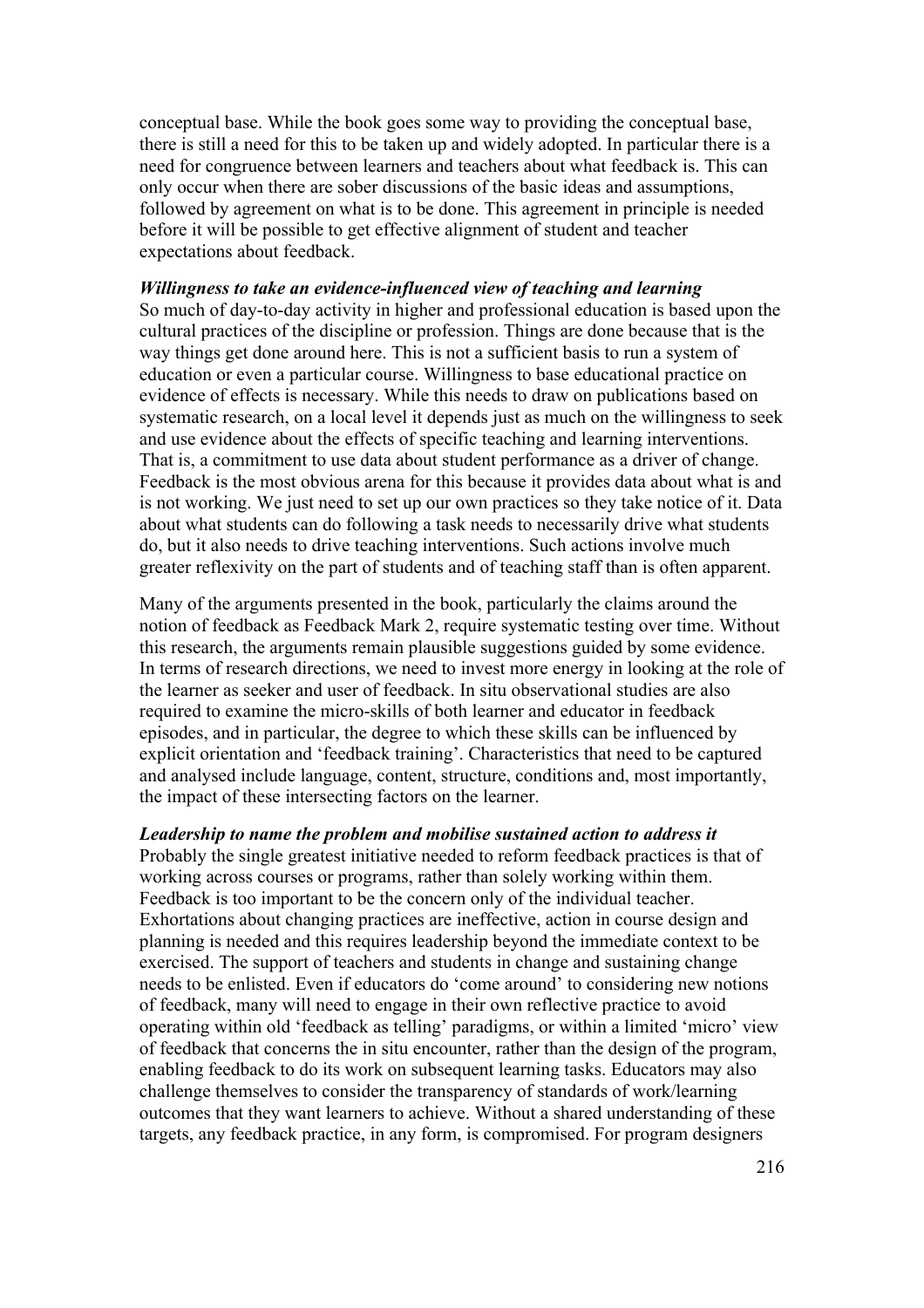conceptual base. While the book goes some way to providing the conceptual base, there is still a need for this to be taken up and widely adopted. In particular there is a need for congruence between learners and teachers about what feedback is. This can only occur when there are sober discussions of the basic ideas and assumptions, followed by agreement on what is to be done. This agreement in principle is needed before it will be possible to get effective alignment of student and teacher expectations about feedback.

#### *Willingness to take an evidence-influenced view of teaching and learning*

So much of day-to-day activity in higher and professional education is based upon the cultural practices of the discipline or profession. Things are done because that is the way things get done around here. This is not a sufficient basis to run a system of education or even a particular course. Willingness to base educational practice on evidence of effects is necessary. While this needs to draw on publications based on systematic research, on a local level it depends just as much on the willingness to seek and use evidence about the effects of specific teaching and learning interventions. That is, a commitment to use data about student performance as a driver of change. Feedback is the most obvious arena for this because it provides data about what is and is not working. We just need to set up our own practices so they take notice of it. Data about what students can do following a task needs to necessarily drive what students do, but it also needs to drive teaching interventions. Such actions involve much greater reflexivity on the part of students and of teaching staff than is often apparent.

Many of the arguments presented in the book, particularly the claims around the notion of feedback as Feedback Mark 2, require systematic testing over time. Without this research, the arguments remain plausible suggestions guided by some evidence. In terms of research directions, we need to invest more energy in looking at the role of the learner as seeker and user of feedback. In situ observational studies are also required to examine the micro-skills of both learner and educator in feedback episodes, and in particular, the degree to which these skills can be influenced by explicit orientation and 'feedback training'. Characteristics that need to be captured and analysed include language, content, structure, conditions and, most importantly, the impact of these intersecting factors on the learner.

#### *Leadership to name the problem and mobilise sustained action to address it*

Probably the single greatest initiative needed to reform feedback practices is that of working across courses or programs, rather than solely working within them. Feedback is too important to be the concern only of the individual teacher. Exhortations about changing practices are ineffective, action in course design and planning is needed and this requires leadership beyond the immediate context to be exercised. The support of teachers and students in change and sustaining change needs to be enlisted. Even if educators do 'come around' to considering new notions of feedback, many will need to engage in their own reflective practice to avoid operating within old 'feedback as telling' paradigms, or within a limited 'micro' view of feedback that concerns the in situ encounter, rather than the design of the program, enabling feedback to do its work on subsequent learning tasks. Educators may also challenge themselves to consider the transparency of standards of work/learning outcomes that they want learners to achieve. Without a shared understanding of these targets, any feedback practice, in any form, is compromised. For program designers